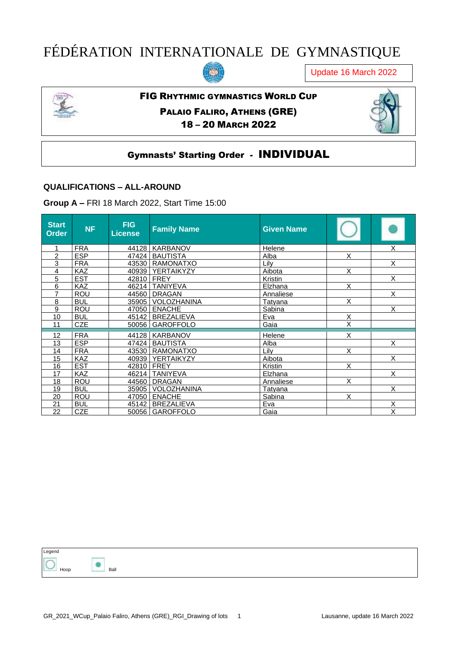# FÉDÉRATION INTERNATIONALE DE GYMNASTIQUE



Update 16 March 2022



#### FIG RHYTHMIC GYMNASTICS WORLD CUP

PALAIO FALIRO, ATHENS (GRE) – 20 MARCH 2022



# Gymnasts' Starting Order - INDIVIDUAL

#### **QUALIFICATIONS – ALL-AROUND**

**Group A –** FRI 18 March 2022, Start Time 15:00

| <b>Start</b><br>Order | <b>NF</b>  | <b>FIG</b><br><b>License</b> | <b>Family Name</b>  | <b>Given Name</b> |                         |   |
|-----------------------|------------|------------------------------|---------------------|-------------------|-------------------------|---|
|                       | <b>FRA</b> |                              | 44128   KARBANOV    | Helene            |                         | Χ |
| $\overline{c}$        | <b>ESP</b> |                              | 47424   BAUTISTA    | Alba              | X                       |   |
| 3                     | <b>FRA</b> |                              | 43530   RAMONATXO   | Lilv              |                         | X |
| 4                     | <b>KAZ</b> |                              | 40939   YERTAIKYZY  | Aibota            | X                       |   |
| 5                     | <b>EST</b> | 42810 FREY                   |                     | Kristin           |                         | X |
| 6                     | <b>KAZ</b> |                              | 46214   TANIYEVA    | Elzhana           | X                       |   |
| 7                     | <b>ROU</b> |                              | 44560   DRAGAN      | Annaliese         |                         | X |
| 8                     | <b>BUL</b> |                              | 35905   VOLOZHANINA | Tatyana           | X                       |   |
| 9                     | <b>ROU</b> |                              | 47050 ENACHE        | Sabina            |                         | X |
| 10                    | <b>BUL</b> |                              | 45142   BREZALIEVA  | Eva               | X                       |   |
| 11                    | <b>CZE</b> |                              | 50056 GAROFFOLO     | Gaia              | $\overline{\mathsf{x}}$ |   |
|                       |            |                              |                     |                   |                         |   |
| 12                    | <b>FRA</b> |                              | 44128   KARBANOV    | Helene            | X                       |   |
| 13                    | <b>ESP</b> |                              | 47424   BAUTISTA    | Alba              |                         | X |
| 14                    | <b>FRA</b> |                              | 43530   RAMONATXO   | Lilv              | X                       |   |
| 15                    | <b>KAZ</b> |                              | 40939   YERTAIKYZY  | Aibota            |                         | X |
| 16                    | <b>EST</b> | 42810   FREY                 |                     | Kristin           | X                       |   |
| 17                    | <b>KAZ</b> |                              | 46214   TANIYEVA    | Elzhana           |                         | X |
| 18                    | <b>ROU</b> |                              | 44560 DRAGAN        | Annaliese         | X                       |   |
| 19                    | <b>BUL</b> |                              | 35905   VOLOZHANINA | Tatyana           |                         | X |
| 20                    | ROU        | 47050                        | <b>ENACHE</b>       | Sabina            | X                       |   |
| 21                    | <b>BUL</b> | 45142                        | <b>BREZALIEVA</b>   | Eva               |                         | X |
| 22                    | <b>CZE</b> |                              | 50056   GAROFFOLO   | Gaia              |                         | X |

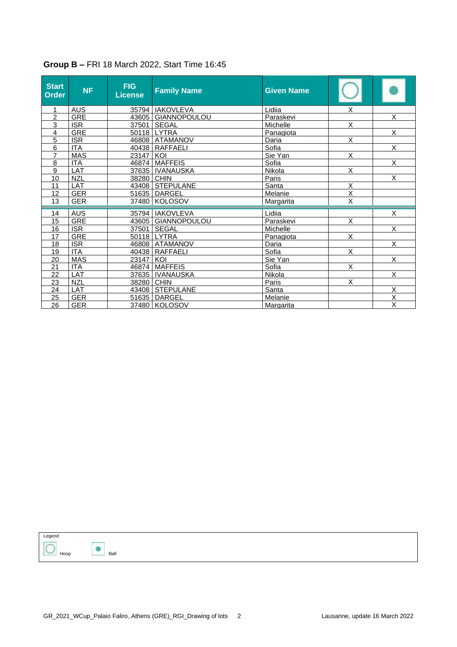| <b>Start</b><br><b>Order</b> | <b>NF</b>  | <b>FIG</b><br><b>License</b> | <b>Family Name</b>   | <b>Given Name</b> |                         |                         |
|------------------------------|------------|------------------------------|----------------------|-------------------|-------------------------|-------------------------|
| 1                            | <b>AUS</b> |                              | 35794   IAKOVLEVA    | Lidiia            | х                       |                         |
| $\overline{2}$               | <b>GRE</b> |                              | 43605 GIANNOPOULOU   | Paraskevi         |                         | $\overline{\mathsf{x}}$ |
| 3                            | <b>ISR</b> |                              | 37501 SEGAL          | Michelle          | $\overline{\mathsf{x}}$ |                         |
| 4                            | <b>GRE</b> |                              | 50118 LYTRA          | Panagiota         |                         | X                       |
| 5                            | <b>ISR</b> |                              | 46808 ATAMANOV       | Daria             | X                       |                         |
| 6                            | <b>ITA</b> |                              | 40438 RAFFAELI       | Sofia             |                         | X                       |
| $\overline{7}$               | <b>MAS</b> | 23147   KOI                  |                      | Sie Yan           | $\overline{\mathsf{x}}$ |                         |
| 8                            | <b>ITA</b> |                              | 46874 MAFFEIS        | Sofia             |                         | $\overline{\mathsf{x}}$ |
| 9                            | <b>LAT</b> |                              | 37635   IVANAUSKA    | Nikola            | $\overline{\mathsf{X}}$ |                         |
| $\overline{10}$              | <b>NZL</b> | 38280 CHIN                   |                      | Paris             |                         | $\overline{\mathsf{x}}$ |
| 11                           | LAT        |                              | 43408 STEPULANE      | Santa             | X                       |                         |
| 12                           | <b>GER</b> | 51635                        | <b>DARGEL</b>        | Melanie           | $\overline{\mathsf{x}}$ |                         |
| 13                           | <b>GER</b> |                              | 37480 KOLOSOV        | Margarita         | X                       |                         |
|                              |            |                              |                      |                   |                         |                         |
| 14                           | <b>AUS</b> | 35794                        | <b>IAKOVLEVA</b>     | Lidiia            |                         | X                       |
| 15                           | <b>GRE</b> |                              | 43605   GIANNOPOULOU | <b>Paraskevi</b>  | $\overline{\mathsf{x}}$ |                         |
| 16                           | <b>ISR</b> |                              | 37501 SEGAL          | Michelle          |                         | X                       |
| 17                           | <b>GRE</b> |                              | 50118 LYTRA          | Panagiota         | $\overline{\mathsf{x}}$ |                         |
| 18                           | <b>ISR</b> |                              | 46808 ATAMANOV       | Daria             |                         | $\overline{\mathsf{x}}$ |
| 19                           | <b>ITA</b> |                              | 40438 RAFFAELI       | Sofia             | $\overline{\mathsf{x}}$ |                         |
| 20                           | <b>MAS</b> | 23147 KOI                    |                      | Sie Yan           |                         | $\overline{\mathsf{x}}$ |
| 21                           | <b>ITA</b> |                              | 46874   MAFFEIS      | Sofia             | X                       |                         |
| 22                           | LAT        |                              | 37635   IVANAUSKA    | Nikola            |                         | $\overline{\mathsf{x}}$ |
| 23                           | <b>NZL</b> | 38280 CHIN                   |                      | Paris             | X                       |                         |
| 24                           | LAT        |                              | 43408 STEPULANE      | Santa             |                         | $\overline{\mathsf{x}}$ |
| 25                           | <b>GER</b> | 51635                        | <b>DARGEL</b>        | Melanie           |                         | $\overline{\mathsf{x}}$ |
| 26                           | <b>GER</b> |                              | 37480 KOLOSOV        | <b>Margarita</b>  |                         | $\overline{\mathsf{x}}$ |

## **Group B –** FRI 18 March 2022, Start Time 16:45



Ball Ball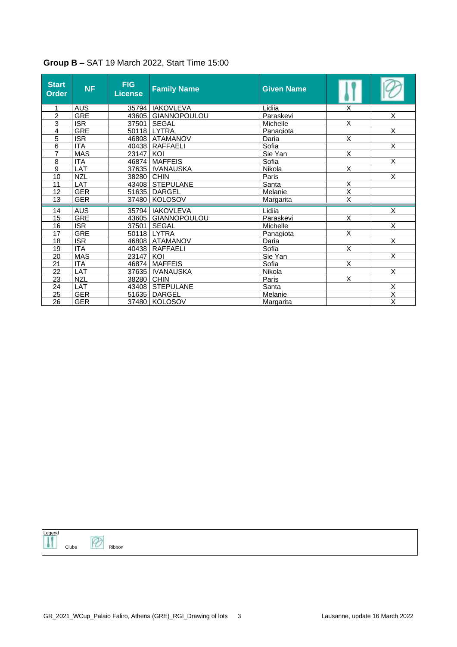| <b>Start</b><br><b>Order</b> | <b>NF</b>  | <b>FIG</b><br><b>License</b> | <b>Family Name</b>   | <b>Given Name</b> |                         |                         |
|------------------------------|------------|------------------------------|----------------------|-------------------|-------------------------|-------------------------|
| $\mathbf 1$                  | <b>AUS</b> |                              | 35794   IAKOVLEVA    | Lidiia            | X                       |                         |
| $\overline{c}$               | <b>GRE</b> |                              | 43605   GIANNOPOULOU | Paraskevi         |                         | X                       |
| 3                            | <b>ISR</b> |                              | 37501 SEGAL          | Michelle          | X                       |                         |
| 4                            | <b>GRE</b> |                              | 50118 LYTRA          | Panagiota         |                         | X                       |
| 5                            | <b>ISR</b> |                              | 46808   ATAMANOV     | Daria             | X                       |                         |
| 6                            | <b>ITA</b> |                              | 40438   RAFFAELI     | Sofia             |                         | X                       |
| $\overline{7}$               | <b>MAS</b> | 23147   KOI                  |                      | Sie Yan           | X                       |                         |
| 8                            | <b>ITA</b> |                              | 46874 MAFFEIS        | Sofia             |                         | X                       |
| 9                            | <b>LAT</b> |                              | 37635   IVANAUSKA    | Nikola            | X                       |                         |
| 10                           | <b>NZL</b> | 38280 CHIN                   |                      | Paris             |                         | X                       |
| 11                           | LAT        |                              | 43408 STEPULANE      | Santa             | X                       |                         |
| 12                           | <b>GER</b> |                              | 51635 DARGEL         | Melanie           | X                       |                         |
| 13                           | <b>GER</b> |                              | 37480 KOLOSOV        | Margarita         | $\overline{\mathsf{x}}$ |                         |
|                              |            |                              |                      |                   |                         |                         |
| 14                           | AUS        |                              | 35794 IAKOVLEVA      | Lidiia            |                         | X                       |
| 15                           | <b>GRE</b> |                              | 43605 GIANNOPOULOU   | Paraskevi         | X                       |                         |
| 16                           | <b>ISR</b> |                              | 37501 SEGAL          | Michelle          |                         | $\overline{\mathsf{x}}$ |
| 17                           | <b>GRE</b> |                              | 50118 LYTRA          | Panagiota         | X                       |                         |
| 18                           | <b>ISR</b> |                              | 46808   ATAMANOV     | Daria             |                         | $\overline{\mathsf{x}}$ |
| 19                           | <b>ITA</b> |                              | 40438   RAFFAELI     | Sofia             | X                       |                         |
| 20                           | <b>MAS</b> | 23147 KOI                    |                      | Sie Yan           |                         | X                       |
| 21                           | <b>ITA</b> |                              | 46874   MAFFEIS      | Sofia             | X                       |                         |
| $\overline{22}$              | LAT        |                              | 37635   IVANAUSKA    | <b>Nikola</b>     |                         | $\overline{\mathsf{x}}$ |
| 23                           | <b>NZL</b> | 38280 CHIN                   |                      | Paris             | X                       |                         |
| 24                           | LAT        |                              | 43408 STEPULANE      | Santa             |                         | $\overline{\mathsf{x}}$ |
| 25                           | <b>GER</b> |                              | 51635 DARGEL         | Melanie           |                         | $\overline{\mathsf{X}}$ |
| 26                           | <b>GER</b> |                              | 37480 KOLOSOV        | <b>Margarita</b>  |                         | $\overline{\mathsf{x}}$ |

## **Group B –** SAT 19 March 2022, Start Time 15:00

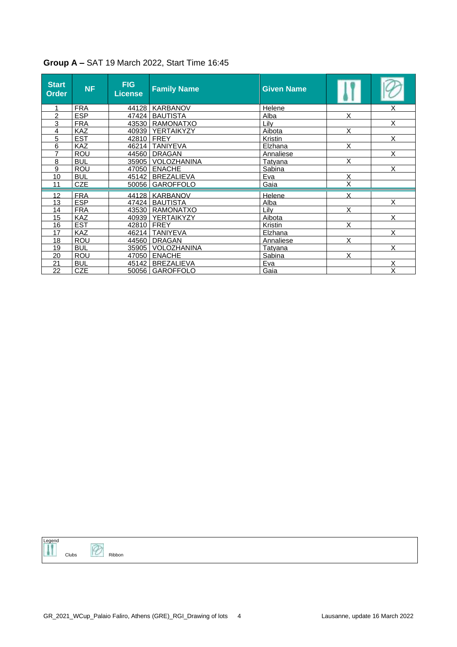| <b>Start</b><br><b>Order</b> | <b>NF</b>  | FIG.<br>License | <b>Family Name</b>  | <b>Given Name</b> |   |                         |
|------------------------------|------------|-----------------|---------------------|-------------------|---|-------------------------|
|                              | <b>FRA</b> |                 | 44128   KARBANOV    | Helene            |   | Χ                       |
| 2                            | <b>ESP</b> |                 | 47424   BAUTISTA    | Alba              | X |                         |
| 3                            | <b>FRA</b> |                 | 43530   RAMONATXO   | Lily              |   | X                       |
| 4                            | <b>KAZ</b> |                 | 40939 YERTAIKYZY    | Aibota            | X |                         |
| 5                            | <b>EST</b> |                 | 42810 FREY          | Kristin           |   | X                       |
| 6                            | KAZ        |                 | 46214 TANIYEVA      | Elzhana           | X |                         |
| 7                            | <b>ROU</b> | 44560           | <b>DRAGAN</b>       | Annaliese         |   | $\overline{\mathsf{x}}$ |
| 8                            | <b>BUL</b> |                 | 35905 VOLOZHANINA   | Tatyana           | X |                         |
| 9                            | <b>ROU</b> |                 | 47050 ENACHE        | Sabina            |   | X                       |
| 10                           | <b>BUL</b> |                 | 45142 BREZALIEVA    | Eva               | X |                         |
| 11                           | <b>CZE</b> |                 | 50056   GAROFFOLO   | Gaia              | Χ |                         |
| 12                           | <b>FRA</b> |                 | 44128 KARBANOV      | Helene            | X |                         |
| 13                           | <b>ESP</b> |                 | 47424   BAUTISTA    | Alba              |   | X                       |
| 14                           | <b>FRA</b> |                 | 43530   RAMONATXO   | Lilv              | X |                         |
| 15                           | <b>KAZ</b> |                 | 40939   YERTAIKYZY  | Aibota            |   | X                       |
| 16                           | <b>EST</b> |                 | 42810 FREY          | Kristin           | X |                         |
| 17                           | <b>KAZ</b> |                 | 46214   TANIYEVA    | Elzhana           |   | X                       |
| 18                           | <b>ROU</b> | 44560           | <b>DRAGAN</b>       | Annaliese         | X |                         |
| 19                           | <b>BUL</b> |                 | 35905   VOLOZHANINA | Tatyana           |   | X                       |
| 20                           | <b>ROU</b> | 47050           | <b>ENACHE</b>       | Sabina            | X |                         |
| 21                           | <b>BUL</b> | 45142           | <b>BREZALIEVA</b>   | Eva               |   | X                       |
| 22                           | CZE        |                 | 50056   GAROFFOLO   | Gaia              |   | $\overline{\mathsf{x}}$ |

#### **Group A –** SAT 19 March 2022, Start Time 16:45